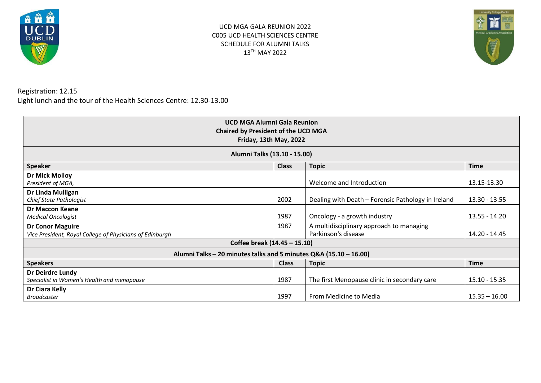

UCD MGA GALA REUNION 2022 C005 UCD HEALTH SCIENCES CENTRE SCHEDULE FOR ALUMNI TALKS 13TH MAY 2022



Registration: 12.15 Light lunch and the tour of the Health Sciences Centre: 12.30-13.00

| <b>UCD MGA Alumni Gala Reunion</b><br><b>Chaired by President of the UCD MGA</b><br>Friday, 13th May, 2022 |              |                                                                 |                 |
|------------------------------------------------------------------------------------------------------------|--------------|-----------------------------------------------------------------|-----------------|
| Alumni Talks (13.10 - 15.00)                                                                               |              |                                                                 |                 |
| <b>Speaker</b>                                                                                             | <b>Class</b> | <b>Topic</b>                                                    | <b>Time</b>     |
| Dr Mick Molloy<br>President of MGA,                                                                        |              | Welcome and Introduction                                        | 13.15-13.30     |
| Dr Linda Mulligan<br>Chief State Pathologist                                                               | 2002         | Dealing with Death - Forensic Pathology in Ireland              | 13.30 - 13.55   |
| <b>Dr Maccon Keane</b><br><b>Medical Oncologist</b>                                                        | 1987         | Oncology - a growth industry                                    | 13.55 - 14.20   |
| <b>Dr Conor Maguire</b><br>Vice President, Royal College of Physicians of Edinburgh                        | 1987         | A multidisciplinary approach to managing<br>Parkinson's disease | 14.20 - 14.45   |
| Coffee break (14.45 - 15.10)                                                                               |              |                                                                 |                 |
| Alumni Talks - 20 minutes talks and 5 minutes Q&A (15.10 - 16.00)                                          |              |                                                                 |                 |
| <b>Speakers</b>                                                                                            | <b>Class</b> | <b>Topic</b>                                                    | <b>Time</b>     |
| Dr Deirdre Lundy<br>Specialist in Women's Health and menopause                                             | 1987         | The first Menopause clinic in secondary care                    | $15.10 - 15.35$ |
| Dr Ciara Kelly<br><b>Broadcaster</b>                                                                       | 1997         | From Medicine to Media                                          | $15.35 - 16.00$ |